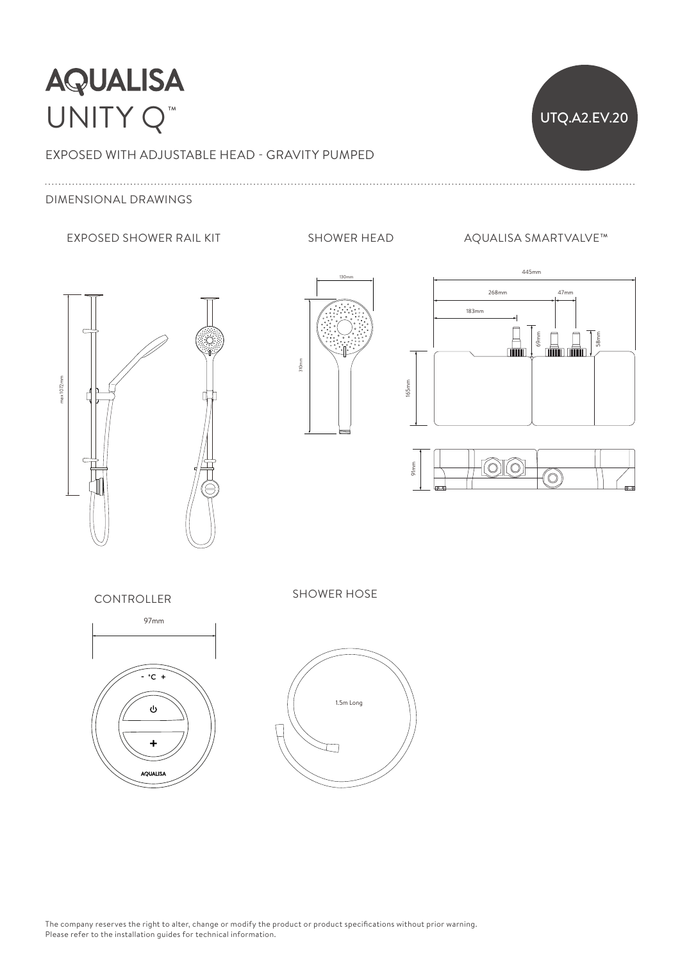## **AQUALISA** UNITY Q<sup>™</sup> 525 mm 250mm 250mm 250mm 250mm 250mm 250mm 250mm 250mm 250mm 250mm 250mm 250mm 250mm 250mm 250mm 250mm 250mm 2



165mm

### EXPOSED WITH ADJUSTABLE HEAD - GRAVITY PUMPED

### DIMENSIONAL DRAWINGS

#### EXPOSED SHOWER RAIL KIT SHOWER HEAD AQUALISA SMARTVALVE™









CONTROLLER SHOWER HOSE